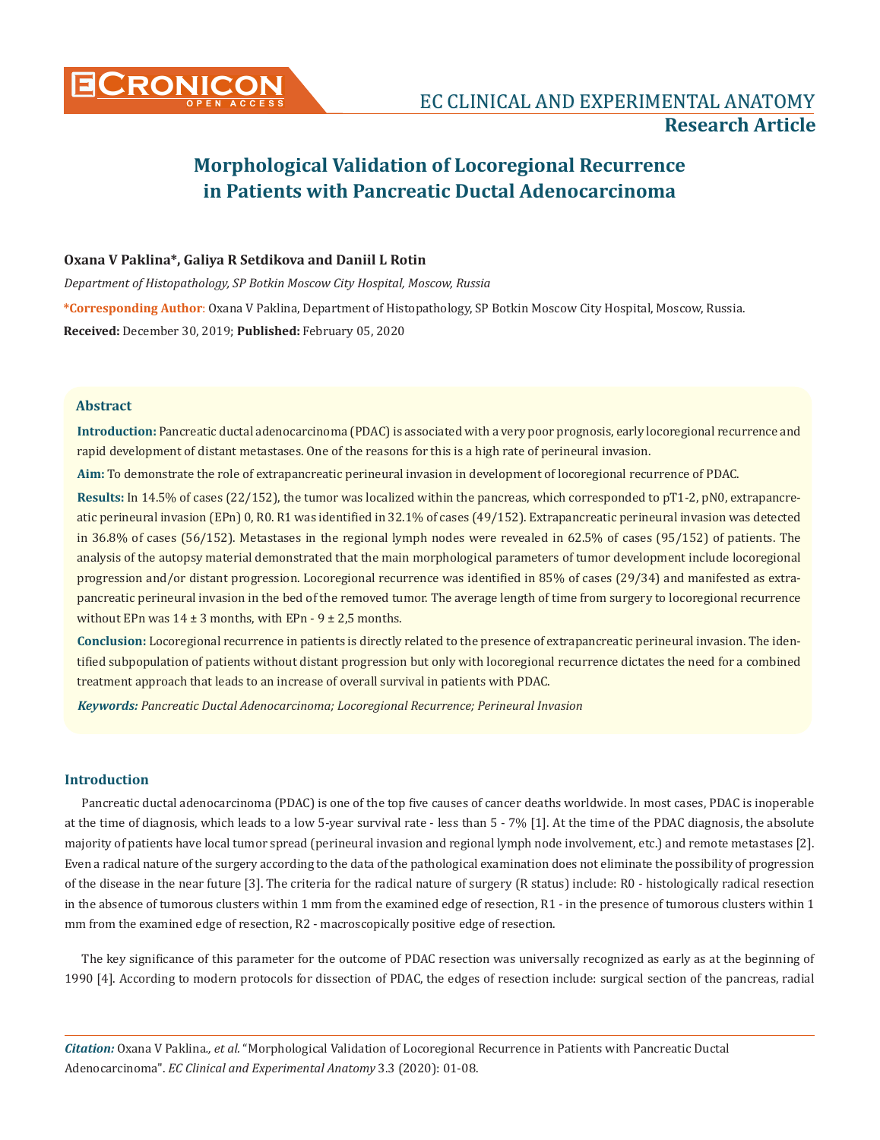# **Morphological Validation of Locoregional Recurrence in Patients with Pancreatic Ductal Adenocarcinoma**

# **Oxana V Paklina\*, Galiya R Setdikova and Daniil L Rotin**

*Department of Histopathology, SP Botkin Moscow City Hospital, Moscow, Russia*  **\*Corresponding Author**: Oxana V Paklina, Department of Histopathology, SP Botkin Moscow City Hospital, Moscow, Russia. **Received:** December 30, 2019; **Published:** February 05, 2020

#### **Abstract**

**Introduction:** Pancreatic ductal adenocarcinoma (PDAC) is associated with a very poor prognosis, early locoregional recurrence and rapid development of distant metastases. One of the reasons for this is a high rate of perineural invasion.

**Aim:** To demonstrate the role of extrapancreatic perineural invasion in development of locoregional recurrence of PDAC.

**Results:** In 14.5% of cases (22/152), the tumor was localized within the pancreas, which corresponded to pT1-2, pN0, extrapancreatic perineural invasion (EPn) 0, R0. R1 was identified in 32.1% of cases (49/152). Extrapancreatic perineural invasion was detected in 36.8% of cases (56/152). Metastases in the regional lymph nodes were revealed in 62.5% of cases (95/152) of patients. The analysis of the autopsy material demonstrated that the main morphological parameters of tumor development include locoregional progression and/or distant progression. Locoregional recurrence was identified in 85% of cases (29/34) and manifested as extrapancreatic perineural invasion in the bed of the removed tumor. The average length of time from surgery to locoregional recurrence without EPn was  $14 \pm 3$  months, with EPn - 9  $\pm 2.5$  months.

**Conclusion:** Locoregional recurrence in patients is directly related to the presence of extrapancreatic perineural invasion. The identified subpopulation of patients without distant progression but only with locoregional recurrence dictates the need for a combined treatment approach that leads to an increase of overall survival in patients with PDAC.

*Keywords: Pancreatic Ductal Adenocarcinoma; Locoregional Recurrence; Perineural Invasion*

### **Introduction**

Pancreatic ductal adenocarcinoma (PDAC) is one of the top five causes of cancer deaths worldwide. In most cases, PDAC is inoperable at the time of diagnosis, which leads to a low 5-year survival rate - less than 5 - 7% [1]. At the time of the PDAC diagnosis, the absolute majority of patients have local tumor spread (perineural invasion and regional lymph node involvement, etc.) and remote metastases [2]. Even a radical nature of the surgery according to the data of the pathological examination does not eliminate the possibility of progression of the disease in the near future [3]. The criteria for the radical nature of surgery (R status) include: R0 - histologically radical resection in the absence of tumorous clusters within 1 mm from the examined edge of resection, R1 - in the presence of tumorous clusters within 1 mm from the examined edge of resection, R2 - macroscopically positive edge of resection.

The key significance of this parameter for the outcome of PDAС resection was universally recognized as early as at the beginning of 1990 [4]. According to modern protocols for dissection of PDAС, the edges of resection include: surgical section of the pancreas, radial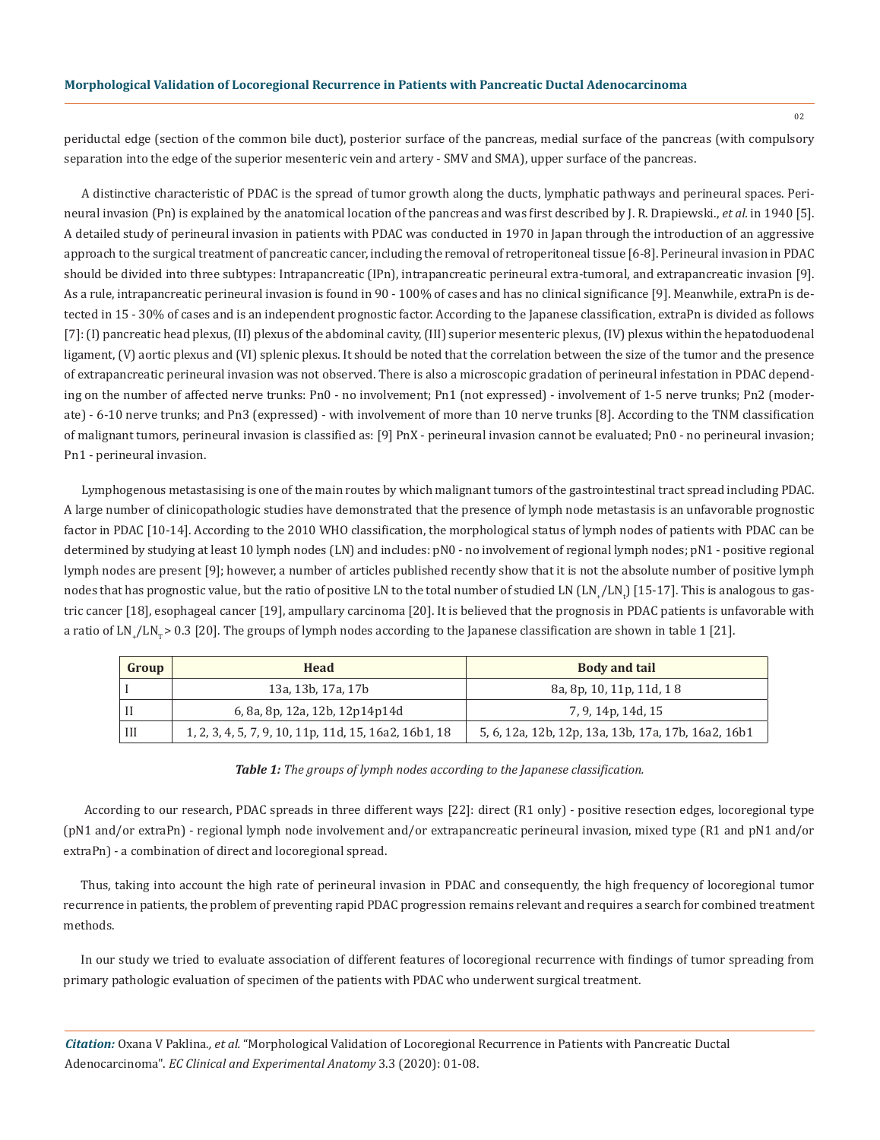periductal edge (section of the common bile duct), posterior surface of the pancreas, medial surface of the pancreas (with compulsory separation into the edge of the superior mesenteric vein and artery - SMV and SMA), upper surface of the pancreas.

A distinctive characteristic of PDAС is the spread of tumor growth along the ducts, lymphatic pathways and perineural spaces. Perineural invasion (Pn) is explained by the anatomical location of the pancreas and was first described by J. R. Drapiewski., *et al.* in 1940 [5]. A detailed study of perineural invasion in patients with PDAС was conducted in 1970 in Japan through the introduction of an aggressive approach to the surgical treatment of pancreatic cancer, including the removal of retroperitoneal tissue [6-8]. Perineural invasion in PDAС should be divided into three subtypes: Intrapancreatic (IPn), intrapancreatic perineural extra-tumoral, and extrapancreatic invasion [9]. As a rule, intrapancreatic perineural invasion is found in 90 - 100% of cases and has no clinical significance [9]. Meanwhile, extraPn is detected in 15 - 30% of cases and is an independent prognostic factor. According to the Japanese classification, extraPn is divided as follows [7]: (I) pancreatic head plexus, (II) plexus of the abdominal cavity, (III) superior mesenteric plexus, (IV) plexus within the hepatoduodenal ligament, (V) aortic plexus and (VI) splenic plexus. It should be noted that the correlation between the size of the tumor and the presence of extrapancreatic perineural invasion was not observed. There is also a microscopic gradation of perineural infestation in PDAС depending on the number of affected nerve trunks: Pn0 - no involvement; Pn1 (not expressed) - involvement of 1-5 nerve trunks; Pn2 (moderate) - 6-10 nerve trunks; and Pn3 (expressed) - with involvement of more than 10 nerve trunks [8]. According to the TNM classification of malignant tumors, perineural invasion is classified as: [9] PnX - perineural invasion cannot be evaluated; Pn0 - no perineural invasion; Pn1 - perineural invasion.

Lymphogenous metastasising is one of the main routes by which malignant tumors of the gastrointestinal tract spread including PDAC. A large number of clinicopathologic studies have demonstrated that the presence of lymph node metastasis is an unfavorable prognostic factor in PDAC [10-14]. According to the 2010 WHO classification, the morphological status of lymph nodes of patients with PDAC can be determined by studying at least 10 lymph nodes (LN) and includes: pN0 - no involvement of regional lymph nodes; pN1 - positive regional lymph nodes are present [9]; however, a number of articles published recently show that it is not the absolute number of positive lymph nodes that has prognostic value, but the ratio of positive LN to the total number of studied LN  $\sf(LN_*/LN_v]$  [15-17]. This is analogous to gastric cancer [18], esophageal cancer [19], ampullary carcinoma [20]. It is believed that the prognosis in PDAС patients is unfavorable with a ratio of LN<sub>+</sub>/LN<sub>T</sub>> 0.3 [20]. The groups of lymph nodes according to the Japanese classification are shown in table 1 [21].

| Group | Head                                                  | <b>Body and tail</b>                                |
|-------|-------------------------------------------------------|-----------------------------------------------------|
|       | 13a, 13b, 17a, 17b                                    | 8a, 8p, 10, 11p, 11d, 18                            |
|       | 6, 8a, 8p, 12a, 12b, 12p14p14d                        | 7, 9, 14p, 14d, 15                                  |
| Ш     | 1, 2, 3, 4, 5, 7, 9, 10, 11p, 11d, 15, 16a2, 16b1, 18 | 5, 6, 12a, 12b, 12p, 13a, 13b, 17a, 17b, 16a2, 16b1 |

*Table 1: The groups of lymph nodes according to the Japanese classification.*

 According to our research, PDAС spreads in three different ways [22]: direct (R1 only) - positive resection edges, locoregional type (pN1 and/or extraPn) - regional lymph node involvement and/or extrapancreatic perineural invasion, mixed type (R1 and pN1 and/or extraPn) - a combination of direct and locoregional spread.

Thus, taking into account the high rate of perineural invasion in PDAС and consequently, the high frequency of locoregional tumor recurrence in patients, the problem of preventing rapid PDAС progression remains relevant and requires a search for combined treatment methods.

In our study we tried to evaluate association of different features of locoregional recurrence with findings of tumor spreading from primary pathologic evaluation of specimen of the patients with PDAC who underwent surgical treatment.

*Citation:* Oxana V Paklina*., et al.* "Morphological Validation of Locoregional Recurrence in Patients with Pancreatic Ductal Adenocarcinoma". *EC Clinical and Experimental Anatomy* 3.3 (2020): 01-08.

02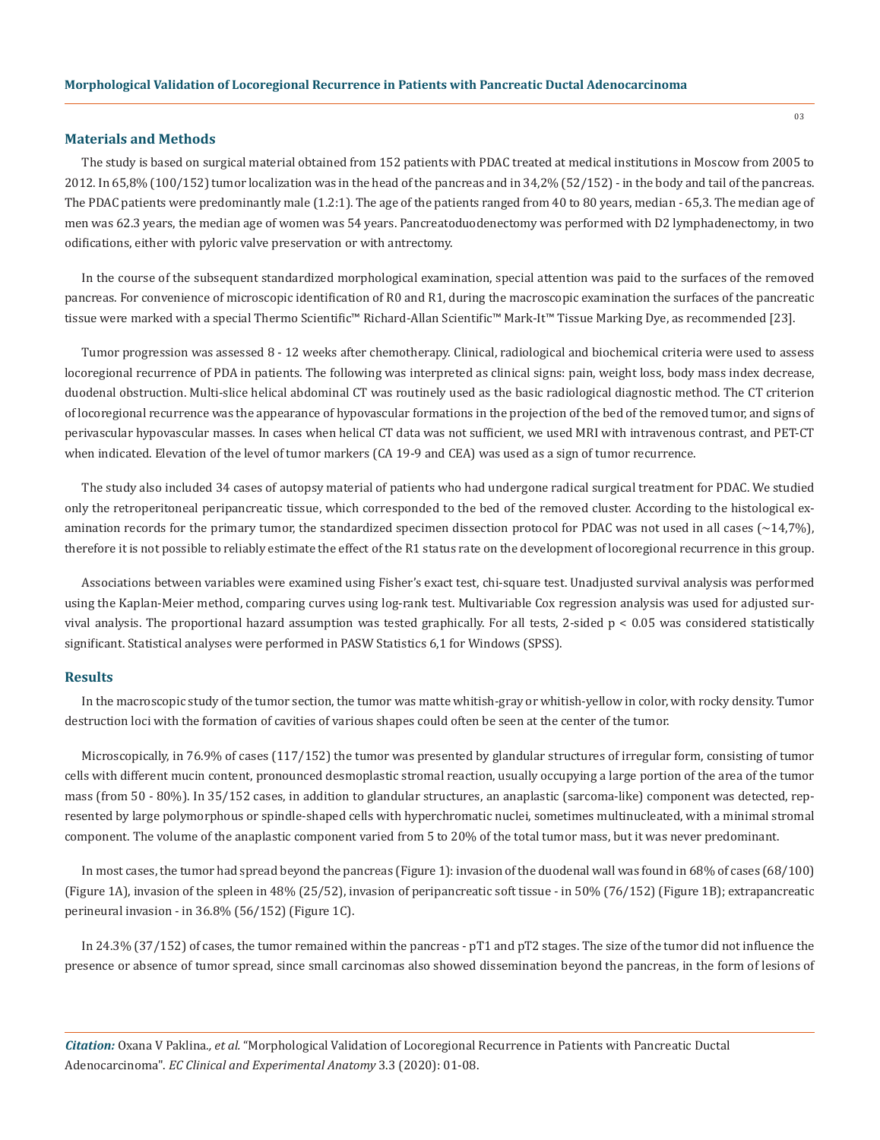## **Materials and Methods**

The study is based on surgical material obtained from 152 patients with PDAC treated at medical institutions in Moscow from 2005 to 2012. In 65,8% (100/152) tumor localization was in the head of the pancreas and in 34,2% (52/152)- in the body and tail of the pancreas. The PDAC patients were predominantly male (1.2:1). The age of the patients ranged from 40 to 80 years, median - 65,3. The median age of men was 62.3 years, the median age of women was 54 years. Pancreatoduodenectomy was performed with D2 lymphadenectomy, in two odifications, either with pyloric valve preservation or with antrectomy.

In the course of the subsequent standardized morphological examination, special attention was paid to the surfaces of the removed pancreas. For convenience of microscopic identification of R0 and R1, during the macroscopic examination the surfaces of the pancreatic tissue were marked with a special Thermo Scientific™ Richard-Allan Scientific™ Mark-It™ Tissue Marking Dye, as recommended [23].

Tumor progression was assessed 8 - 12 weeks after chemotherapy. Clinical, radiological and biochemical criteria were used to assess locoregional recurrence of PDA in patients. The following was interpreted as clinical signs: pain, weight loss, body mass index decrease, duodenal obstruction. Multi-slice helical abdominal CT was routinely used as the basic radiological diagnostic method. The CT criterion of locoregional recurrence was the appearance of hypovascular formations in the projection of the bed of the removed tumor, and signs of perivascular hypovascular masses. In cases when helical CT data was not sufficient, we used MRI with intravenous contrast, and PET-CT when indicated. Elevation of the level of tumor markers (CA 19-9 and CEA) was used as a sign of tumor recurrence.

The study also included 34 cases of autopsy material of patients who had undergone radical surgical treatment for PDAC. We studied only the retroperitoneal peripancreatic tissue, which corresponded to the bed of the removed cluster. According to the histological examination records for the primary tumor, the standardized specimen dissection protocol for PDAC was not used in all cases  $\left(\sim 14,7\% \right)$ , therefore it is not possible to reliably estimate the effect of the R1 status rate on the development of locoregional recurrence in this group.

Associations between variables were examined using Fisher's exact test, chi-square test. Unadjusted survival analysis was performed using the Kaplan-Meier method, comparing curves using log-rank test. Multivariable Cox regression analysis was used for adjusted survival analysis. The proportional hazard assumption was tested graphically. For all tests, 2-sided p < 0.05 was considered statistically significant. Statistical analyses were performed in PASW Statistics 6,1 for Windows (SPSS).

#### **Results**

In the macroscopic study of the tumor section, the tumor was matte whitish-gray or whitish-yellow in color, with rocky density. Tumor destruction loci with the formation of cavities of various shapes could often be seen at the center of the tumor.

Microscopically, in 76.9% of cases (117/152) the tumor was presented by glandular structures of irregular form, consisting of tumor cells with different mucin content, pronounced desmoplastic stromal reaction, usually occupying a large portion of the area of the tumor mass (from 50 - 80%). In 35/152 cases, in addition to glandular structures, an anaplastic (sarcoma-like) component was detected, represented by large polymorphous or spindle-shaped cells with hyperchromatic nuclei, sometimes multinucleated, with a minimal stromal component. The volume of the anaplastic component varied from 5 to 20% of the total tumor mass, but it was never predominant.

In most cases, the tumor had spread beyond the pancreas (Figure 1): invasion of the duodenal wall was found in 68% of cases (68/100) (Figure 1A), invasion of the spleen in 48% (25/52), invasion of peripancreatic soft tissue - in 50% (76/152) (Figure 1B); extrapancreatic perineural invasion - in 36.8% (56/152) (Figure 1C).

In 24.3% (37/152) of cases, the tumor remained within the pancreas - pT1 and pT2 stages. The size of the tumor did not influence the presence or absence of tumor spread, since small carcinomas also showed dissemination beyond the pancreas, in the form of lesions of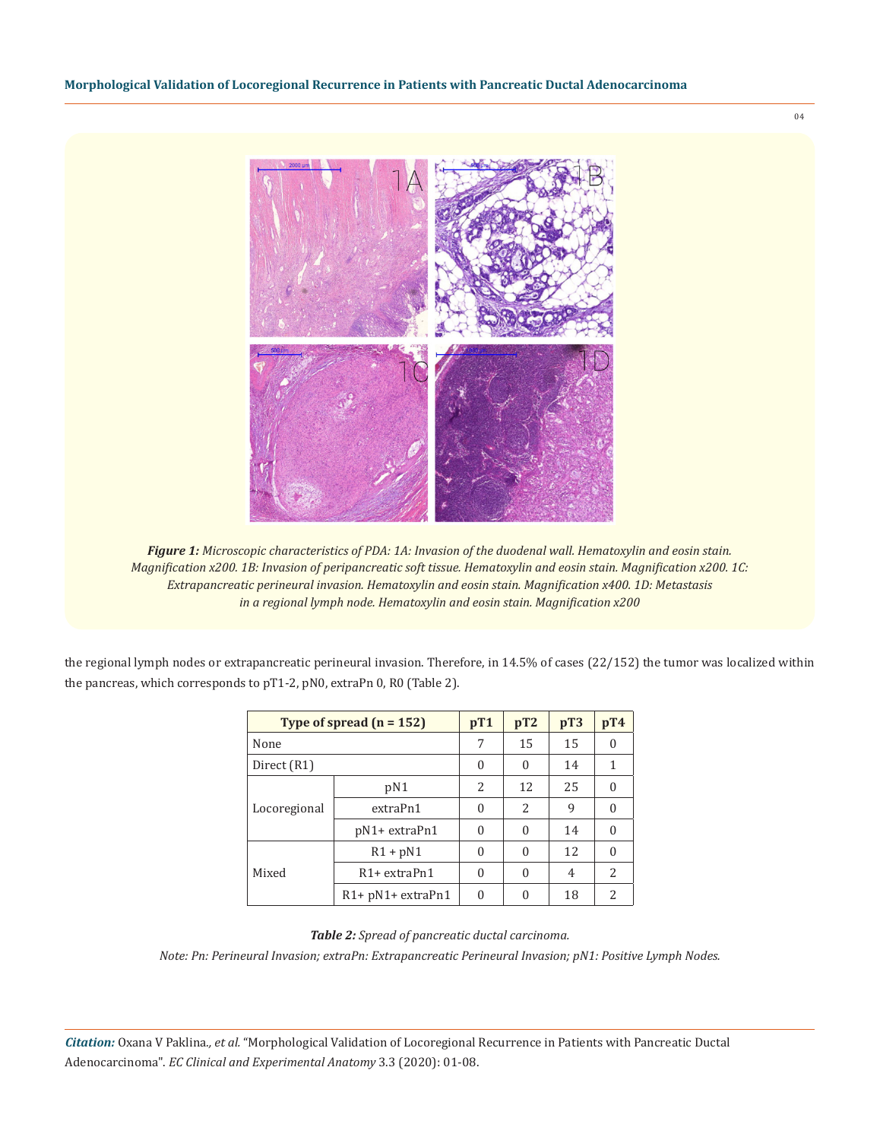*Figure 1: Microscopic characteristics of PDA: 1A: Invasion of the duodenal wall. Hematoxylin and eosin stain. Magnification x200. 1B: Invasion of peripancreatic soft tissue. Hematoxylin and eosin stain. Magnification x200. 1C: Extrapancreatic perineural invasion. Hematoxylin and eosin stain. Magnification x400. 1D: Metastasis in a regional lymph node. Hematoxylin and eosin stain. Magnification x200*

the regional lymph nodes or extrapancreatic perineural invasion. Therefore, in 14.5% of cases (22/152) the tumor was localized within the pancreas, which corresponds to pT1-2, pN0, extraPn 0, R0 (Table 2).

| Type of spread $(n = 152)$ | pT1                 | pT2      | pT3      | pT4      |          |
|----------------------------|---------------------|----------|----------|----------|----------|
| None                       | 7                   | 15       | 15       | $\Omega$ |          |
| Direct (R1)                | $\theta$            | $\theta$ | 14       | 1        |          |
|                            | pN1                 | 2        | 12       | 25       | $\theta$ |
| Locoregional               | extraPn1            | $\Omega$ | 2        | 9        | $\theta$ |
|                            | pN1+ extraPn1       | $\Omega$ | $\Omega$ | 14       | $\theta$ |
|                            | $R1 + pN1$          | $\Omega$ | $\Omega$ | 12       | $\theta$ |
| Mixed                      | $R1 + extraPn1$     | $\Omega$ | $\Omega$ | 4        | 2        |
|                            | $R1+ pN1+ extraPn1$ | 0        | 0        | 18       | 2        |

### *Table 2: Spread of pancreatic ductal carcinoma.*

*Note: Pn: Perineural Invasion; extraPn: Extrapancreatic Perineural Invasion; pN1: Positive Lymph Nodes.*

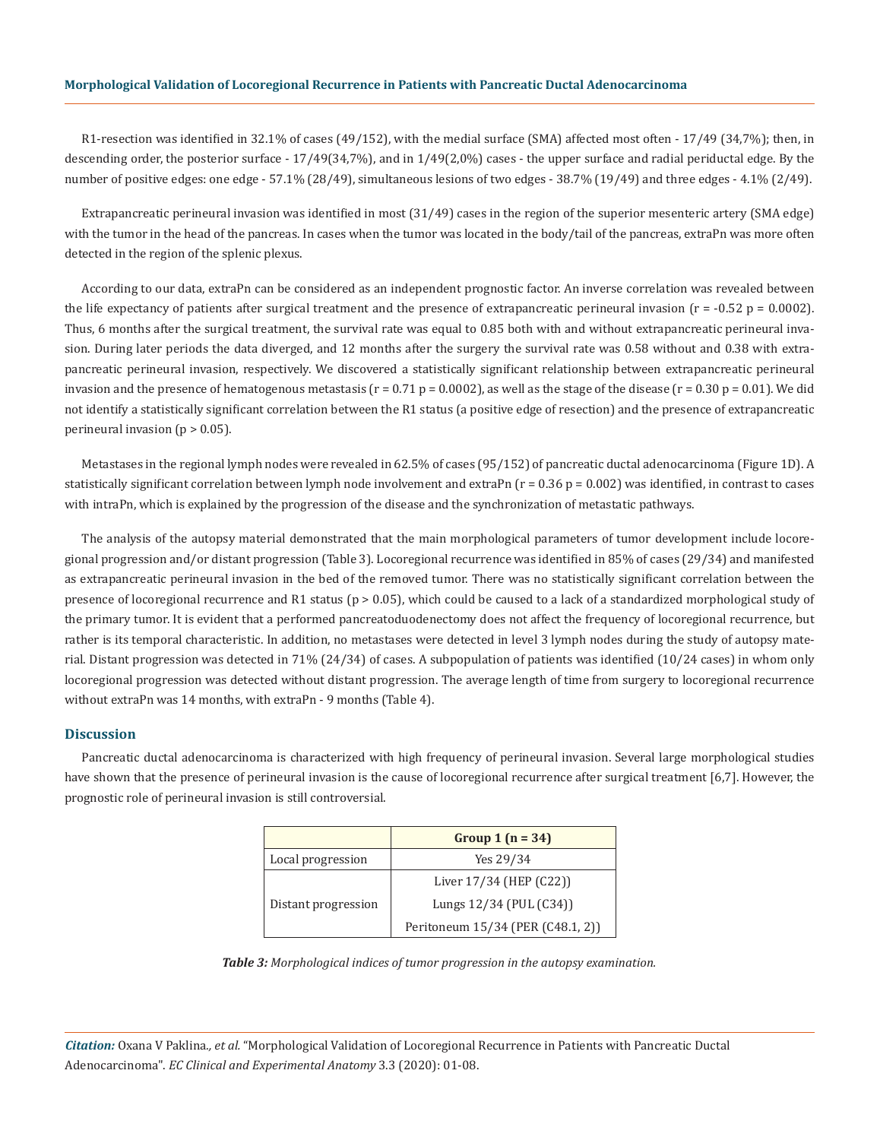R1-resection was identified in 32.1% of cases (49/152), with the medial surface (SMA) affected most often - 17/49 (34,7%); then, in descending order, the posterior surface - 17/49(34,7%), and in 1/49(2,0%) cases - the upper surface and radial periductal edge. By the number of positive edges: one edge - 57.1% (28/49), simultaneous lesions of two edges - 38.7% (19/49) and three edges - 4.1% (2/49).

Extrapancreatic perineural invasion was identified in most (31/49) cases in the region of the superior mesenteric artery (SMA edge) with the tumor in the head of the pancreas. In cases when the tumor was located in the body/tail of the pancreas, extraPn was more often detected in the region of the splenic plexus.

According to our data, extraPn can be considered as an independent prognostic factor. An inverse correlation was revealed between the life expectancy of patients after surgical treatment and the presence of extrapancreatic perineural invasion ( $r = -0.52$  p = 0.0002). Thus, 6 months after the surgical treatment, the survival rate was equal to 0.85 both with and without extrapancreatic perineural invasion. During later periods the data diverged, and 12 months after the surgery the survival rate was 0.58 without and 0.38 with extrapancreatic perineural invasion, respectively. We discovered a statistically significant relationship between extrapancreatic perineural invasion and the presence of hematogenous metastasis ( $r = 0.71$  p = 0.0002), as well as the stage of the disease ( $r = 0.30$  p = 0.01). We did not identify a statistically significant correlation between the R1 status (a positive edge of resection) and the presence of extrapancreatic perineural invasion ( $p > 0.05$ ).

Metastases in the regional lymph nodes were revealed in 62.5% of cases (95/152) of pancreatic ductal adenocarcinoma (Figure 1D). A statistically significant correlation between lymph node involvement and extraPn  $(r = 0.36 p = 0.002)$  was identified, in contrast to cases with intraPn, which is explained by the progression of the disease and the synchronization of metastatic pathways.

The analysis of the autopsy material demonstrated that the main morphological parameters of tumor development include locoregional progression and/or distant progression (Table 3). Locoregional recurrence was identified in 85% of cases (29/34) and manifested as extrapancreatic perineural invasion in the bed of the removed tumor. There was no statistically significant correlation between the presence of locoregional recurrence and R1 status ( $p > 0.05$ ), which could be caused to a lack of a standardized morphological study of the primary tumor. It is evident that a performed pancreatoduodenectomy does not affect the frequency of locoregional recurrence, but rather is its temporal characteristic. In addition, no metastases were detected in level 3 lymph nodes during the study of autopsy material. Distant progression was detected in 71% (24/34) of cases. A subpopulation of patients was identified (10/24 cases) in whom only locoregional progression was detected without distant progression. The average length of time from surgery to locoregional recurrence without extraPn was 14 months, with extraPn - 9 months (Table 4).

### **Discussion**

Pancreatic ductal adenocarcinoma is characterized with high frequency of perineural invasion. Several large morphological studies have shown that the presence of perineural invasion is the cause of locoregional recurrence after surgical treatment [6,7]. However, the prognostic role of perineural invasion is still controversial.

|                     | Group $1(n = 34)$                 |  |
|---------------------|-----------------------------------|--|
| Local progression   | Yes 29/34                         |  |
|                     | Liver 17/34 (HEP (C22))           |  |
| Distant progression | Lungs $12/34$ (PUL $(C34)$ )      |  |
|                     | Peritoneum 15/34 (PER (C48.1, 2)) |  |

*Table 3: Morphological indices of tumor progression in the autopsy examination.*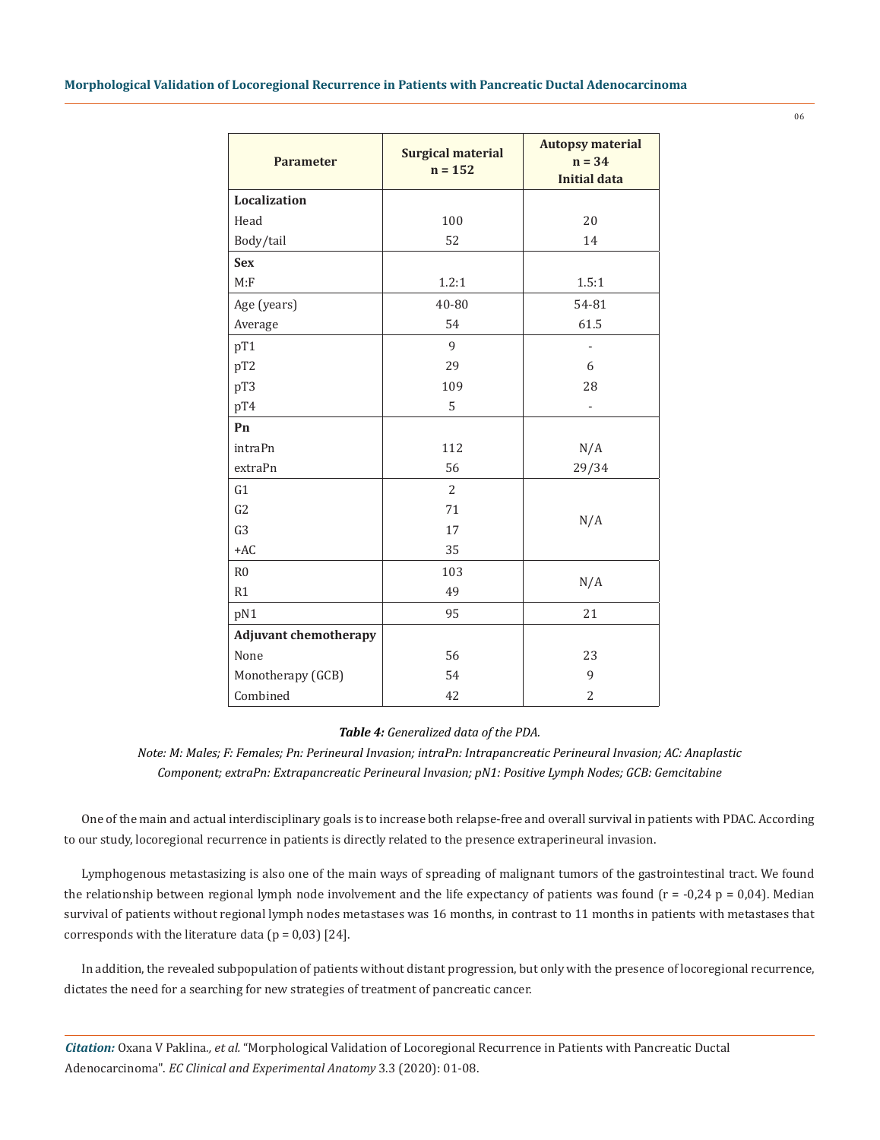| <b>Parameter</b>             | <b>Surgical material</b><br>$n = 152$ | <b>Autopsy material</b><br>$n = 34$<br><b>Initial data</b> |  |
|------------------------------|---------------------------------------|------------------------------------------------------------|--|
| <b>Localization</b>          |                                       |                                                            |  |
| Head                         | 100                                   | 20                                                         |  |
| Body/tail                    | 52                                    | 14                                                         |  |
| <b>Sex</b>                   |                                       |                                                            |  |
| M: F                         | 1.2:1                                 | 1.5:1                                                      |  |
| Age (years)                  | 40-80                                 | 54-81                                                      |  |
| Average                      | 54                                    | 61.5                                                       |  |
| pT1                          | 9                                     | $\overline{\phantom{0}}$                                   |  |
| pT2                          | 29                                    | 6                                                          |  |
| pT3                          | 109                                   | 28                                                         |  |
| pT4                          | 5                                     |                                                            |  |
| Pn                           |                                       |                                                            |  |
| intraPn                      | 112                                   | N/A                                                        |  |
| extraPn                      | 56                                    | 29/34                                                      |  |
| G1                           | $\overline{2}$                        |                                                            |  |
| G <sub>2</sub>               | 71                                    | N/A                                                        |  |
| G <sub>3</sub>               | 17                                    |                                                            |  |
| $+AC$                        | 35                                    |                                                            |  |
| R <sub>0</sub>               | 103                                   | N/A                                                        |  |
| R1                           | 49                                    |                                                            |  |
| pN1                          | 95                                    | 21                                                         |  |
| <b>Adjuvant chemotherapy</b> |                                       |                                                            |  |
| None                         | 56                                    | 23                                                         |  |
| Monotherapy (GCB)            | 54                                    | 9                                                          |  |
| Combined                     | 42                                    | $\overline{2}$                                             |  |

#### *Table 4: Generalized data of the PDA.*

*Note: M: Males; F: Females; Pn: Perineural Invasion; intraPn: Intrapancreatic Perineural Invasion; AC: Anaplastic Component; extraPn: Extrapancreatic Perineural Invasion; pN1: Positive Lymph Nodes; GCB: Gemcitabine*

One of the main and actual interdisciplinary goals is to increase both relapse-free and overall survival in patients with PDAC. According to our study, locoregional recurrence in patients is directly related to the presence extraperineural invasion.

Lymphogenous metastasizing is also one of the main ways of spreading of malignant tumors of the gastrointestinal tract. We found the relationship between regional lymph node involvement and the life expectancy of patients was found  $(r = -0.24 \text{ p} = 0.04)$ . Median survival of patients without regional lymph nodes metastases was 16 months, in contrast to 11 months in patients with metastases that corresponds with the literature data  $(p = 0.03)$  [24].

In addition, the revealed subpopulation of patients without distant progression, but only with the presence of locoregional recurrence, dictates the need for a searching for new strategies of treatment of pancreatic cancer.

*Citation:* Oxana V Paklina*., et al.* "Morphological Validation of Locoregional Recurrence in Patients with Pancreatic Ductal Adenocarcinoma". *EC Clinical and Experimental Anatomy* 3.3 (2020): 01-08.

06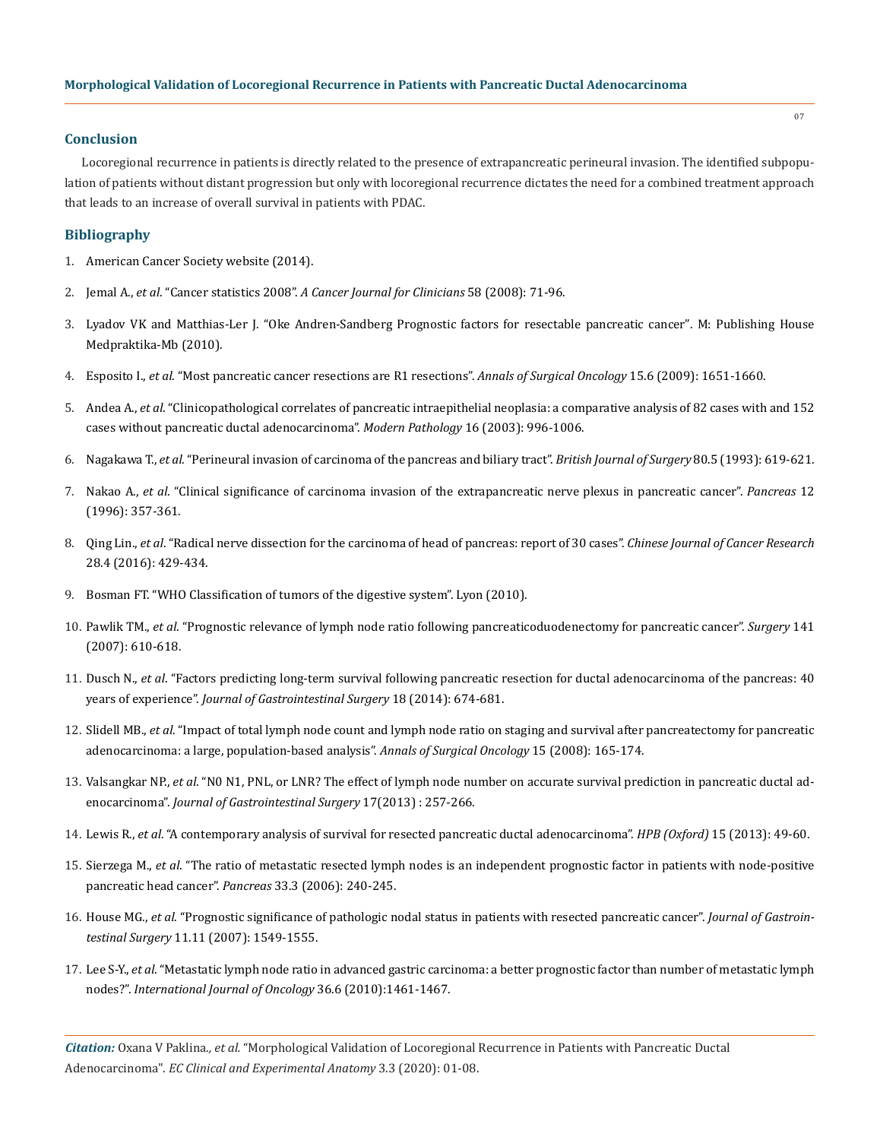# **Conclusion**

Locoregional recurrence in patients is directly related to the presence of extrapancreatic perineural invasion. The identified subpopulation of patients without distant progression but only with locoregional recurrence dictates the need for a combined treatment approach that leads to an increase of overall survival in patients with PDAC.

#### **Bibliography**

- 1. [American Cancer Society website \(2014\).](http://www.cancer.org/cancer/pancreaticcancer/detailedguide/pancreatic-cancer-key-statistics)
- 2. Jemal A., *et al*. "Cancer statistics 2008". *[A Cancer Journal for Clinicians](https://www.ncbi.nlm.nih.gov/pubmed/18287387)* 58 (2008): 71-96.
- 3. Lyadov VK and Matthias-Ler J. "Oke Andren-Sandberg Prognostic factors for resectable pancreatic cancer". M: Publishing House Medpraktika-Mb (2010).
- 4. Esposito I., *et al*[. "Most pancreatic cancer resections are R1 resections".](https://www.ncbi.nlm.nih.gov/pubmed/18351300) *Annals of Surgical Oncology* 15.6 (2009): 1651-1660.
- 5. Andea A., *et al*[. "Clinicopathological correlates of pancreatic intraepithelial neoplasia: a comparative analysis of 82 cases with and 152](https://www.ncbi.nlm.nih.gov/pubmed/14559982)  [cases without pancreatic ductal adenocarcinoma".](https://www.ncbi.nlm.nih.gov/pubmed/14559982) *Modern Pathology* 16 (2003): 996-1006.
- 6. Nagakawa T., *et al*[. "Perineural invasion of carcinoma of the pancreas and biliary tract".](https://www.ncbi.nlm.nih.gov/pubmed/8518906) *British Journal of Surgery* 80.5 (1993): 619-621.
- 7. Nakao A., *et al*[. "Clinical significance of carcinoma invasion of the extrapancreatic nerve plexus in pancreatic cancer".](https://europepmc.org/article/med/8740402) *Pancreas* 12 [\(1996\): 357-361.](https://europepmc.org/article/med/8740402)
- 8. Qing Lin., *et al*[. "Radical nerve dissection for the carcinoma of head of pancreas: report of 30 cases".](https://www.ncbi.nlm.nih.gov/pmc/articles/PMC5018538/) *Chinese Journal of Cancer Research* [28.4 \(2016\): 429-434.](https://www.ncbi.nlm.nih.gov/pmc/articles/PMC5018538/)
- 9. Bosman FT. "WHO Classification of tumors of the digestive system". Lyon (2010).
- 10. Pawlik TM., *et al*[. "Prognostic relevance of lymph node ratio following pancreaticoduodenectomy for pancreatic cancer".](https://www.ncbi.nlm.nih.gov/pubmed/17462460) *Surgery* 141 [\(2007\): 610-618.](https://www.ncbi.nlm.nih.gov/pubmed/17462460)
- 11. Dusch N., *et al*[. "Factors predicting long-term survival following pancreatic resection for ductal adenocarcinoma of the pancreas: 40](https://www.ncbi.nlm.nih.gov/pubmed/24241965)  years of experience". *[Journal of Gastrointestinal Surgery](https://www.ncbi.nlm.nih.gov/pubmed/24241965)* 18 (2014): 674-681.
- 12. Slidell MB., *et al*[. "Impact of total lymph node count and lymph node ratio on staging and survival after pancreatectomy for pancreatic](https://www.researchgate.net/publication/295272601_Impact_of_total_lymph_node_count_and_lymph_node_ratio_on_staging_and_survival_after_pancreaticoduodenectomy_for_pancreatic_cancer_a_large_population-based_analysis) [adenocarcinoma: a large, population-based analysis".](https://www.researchgate.net/publication/295272601_Impact_of_total_lymph_node_count_and_lymph_node_ratio_on_staging_and_survival_after_pancreaticoduodenectomy_for_pancreatic_cancer_a_large_population-based_analysis) *Annals of Surgical Oncology* 15 (2008): 165-174.
- 13. Valsangkar NP., *et al*[. "N0 N1, PNL, or LNR? The effect of lymph node number on accurate survival prediction in pancreatic ductal ad](https://www.ncbi.nlm.nih.gov/pubmed/23229885)enocarcinoma". *[Journal of Gastrointestinal Surgery](https://www.ncbi.nlm.nih.gov/pubmed/23229885)* 17(2013) : 257-266.
- 14. Lewis R., *et al*[. "A contemporary analysis of survival for resected pancreatic ductal adenocarcinoma".](https://www.ncbi.nlm.nih.gov/pubmed/23216779) *HPB (Oxford)* 15 (2013): 49-60.
- 15. Sierzega M., *et al*[. "The ratio of metastatic resected lymph nodes is an independent prognostic factor in patients with node-positive](https://www.ncbi.nlm.nih.gov/pubmed/17003644) [pancreatic head cancer".](https://www.ncbi.nlm.nih.gov/pubmed/17003644) *Pancreas* 33.3 (2006): 240-245.
- 16. House MG., *et al*[. "Prognostic significance of pathologic nodal status in patients with resected pancreatic cancer".](https://link.springer.com/article/10.1007/s11605-007-0243-7) *Journal of Gastrointestinal Surgery* [11.11 \(2007\): 1549-1555.](https://link.springer.com/article/10.1007/s11605-007-0243-7)
- 17. Lee S-Y., *et al*[. "Metastatic lymph node ratio in advanced gastric carcinoma: a better prognostic factor than number of metastatic lymph](https://www.ncbi.nlm.nih.gov/pubmed/20428770) nodes?". *[International Journal of Oncology](https://www.ncbi.nlm.nih.gov/pubmed/20428770)* 36.6 (2010):1461-1467.

*Citation:* Oxana V Paklina*., et al.* "Morphological Validation of Locoregional Recurrence in Patients with Pancreatic Ductal Adenocarcinoma". *EC Clinical and Experimental Anatomy* 3.3 (2020): 01-08.

07